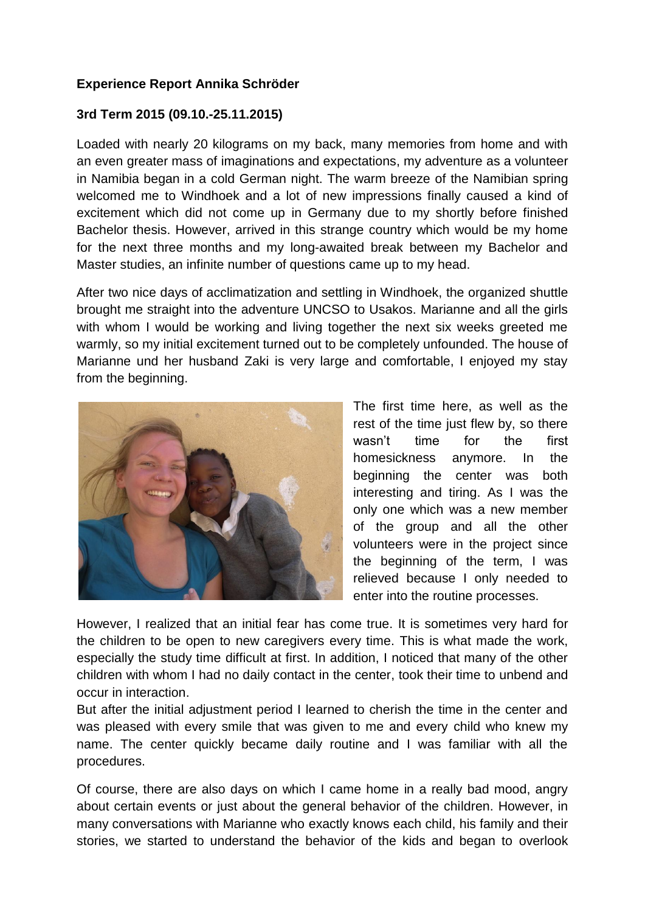## **Experience Report Annika Schröder**

## **3rd Term 2015 (09.10.-25.11.2015)**

Loaded with nearly 20 kilograms on my back, many memories from home and with an even greater mass of imaginations and expectations, my adventure as a volunteer in Namibia began in a cold German night. The warm breeze of the Namibian spring welcomed me to Windhoek and a lot of new impressions finally caused a kind of excitement which did not come up in Germany due to my shortly before finished Bachelor thesis. However, arrived in this strange country which would be my home for the next three months and my long-awaited break between my Bachelor and Master studies, an infinite number of questions came up to my head.

After two nice days of acclimatization and settling in Windhoek, the organized shuttle brought me straight into the adventure UNCSO to Usakos. Marianne and all the girls with whom I would be working and living together the next six weeks greeted me warmly, so my initial excitement turned out to be completely unfounded. The house of Marianne und her husband Zaki is very large and comfortable, I enjoyed my stay from the beginning.



The first time here, as well as the rest of the time just flew by, so there wasn't time for the first homesickness anymore. In the beginning the center was both interesting and tiring. As I was the only one which was a new member of the group and all the other volunteers were in the project since the beginning of the term, I was relieved because I only needed to enter into the routine processes.

However, I realized that an initial fear has come true. It is sometimes very hard for the children to be open to new caregivers every time. This is what made the work, especially the study time difficult at first. In addition, I noticed that many of the other children with whom I had no daily contact in the center, took their time to unbend and occur in interaction.

But after the initial adjustment period I learned to cherish the time in the center and was pleased with every smile that was given to me and every child who knew my name. The center quickly became daily routine and I was familiar with all the procedures.

Of course, there are also days on which I came home in a really bad mood, angry about certain events or just about the general behavior of the children. However, in many conversations with Marianne who exactly knows each child, his family and their stories, we started to understand the behavior of the kids and began to overlook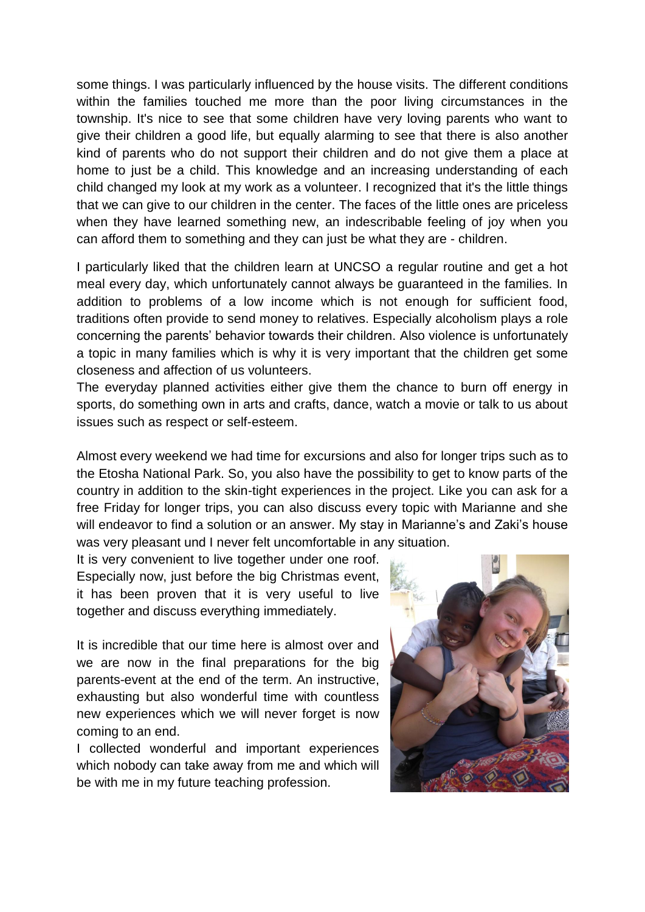some things. I was particularly influenced by the house visits. The different conditions within the families touched me more than the poor living circumstances in the township. It's nice to see that some children have very loving parents who want to give their children a good life, but equally alarming to see that there is also another kind of parents who do not support their children and do not give them a place at home to just be a child. This knowledge and an increasing understanding of each child changed my look at my work as a volunteer. I recognized that it's the little things that we can give to our children in the center. The faces of the little ones are priceless when they have learned something new, an indescribable feeling of joy when you can afford them to something and they can just be what they are - children.

I particularly liked that the children learn at UNCSO a regular routine and get a hot meal every day, which unfortunately cannot always be guaranteed in the families. In addition to problems of a low income which is not enough for sufficient food, traditions often provide to send money to relatives. Especially alcoholism plays a role concerning the parents' behavior towards their children. Also violence is unfortunately a topic in many families which is why it is very important that the children get some closeness and affection of us volunteers.

The everyday planned activities either give them the chance to burn off energy in sports, do something own in arts and crafts, dance, watch a movie or talk to us about issues such as respect or self-esteem.

Almost every weekend we had time for excursions and also for longer trips such as to the Etosha National Park. So, you also have the possibility to get to know parts of the country in addition to the skin-tight experiences in the project. Like you can ask for a free Friday for longer trips, you can also discuss every topic with Marianne and she will endeavor to find a solution or an answer. My stay in Marianne's and Zaki's house was very pleasant und I never felt uncomfortable in any situation.

It is very convenient to live together under one roof. Especially now, just before the big Christmas event, it has been proven that it is very useful to live together and discuss everything immediately.

It is incredible that our time here is almost over and we are now in the final preparations for the big parents-event at the end of the term. An instructive, exhausting but also wonderful time with countless new experiences which we will never forget is now coming to an end.

I collected wonderful and important experiences which nobody can take away from me and which will be with me in my future teaching profession.